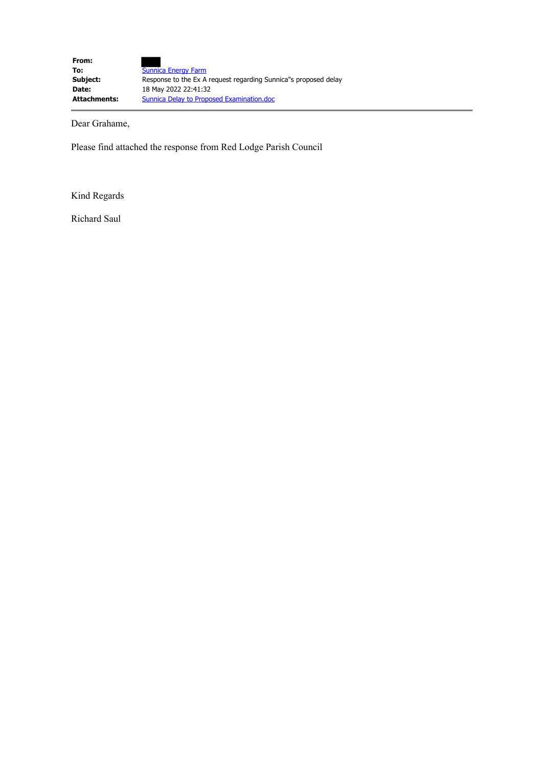Dear Grahame,

Please find attached the response from Red Lodge Parish Council

Kind Regards

Richard Saul